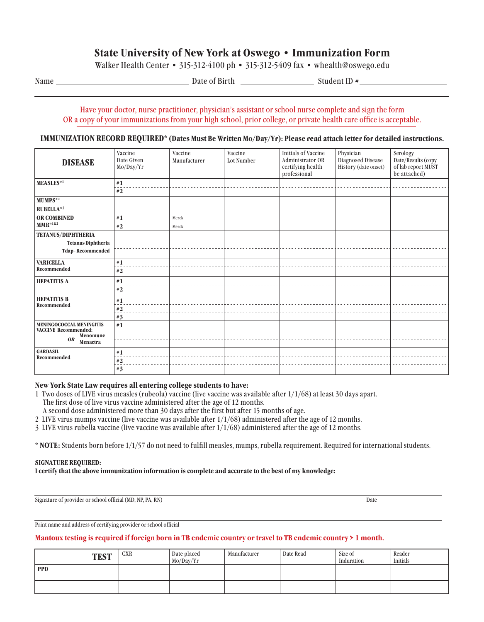# **State University of New York at Oswego • Immunization Form**

Walker Health Center • 315-312-4100 ph • 315-312-5409 fax • whealth@oswego.edu

Name Date of Birth Student ID #

# Have your doctor, nurse practitioner, physician's assistant or school nurse complete and sign the form OR a copy of your immunizations from your high school, prior college, or private health care office is acceptable.

# **IMMUNIZATION RECORD REQUIRED\* (Dates Must Be Written Mo/Day/Yr): Please read attach letter for detailed instructions.**

| <b>DISEASE</b><br>MEASLES*1                                                                  | Vaccine<br>Date Given<br>Mo/Day/Yr<br>#1<br>#2 | Vaccine<br>Manufacturer | Vaccine<br>Lot Number | <b>Initials of Vaccine</b><br>Administrator OR<br>certifying health<br>professional | Physician<br>Diagnosed Disease<br>History (date onset) | Serology<br>Date/Results (copy<br>of lab report MUST<br>be attached) |
|----------------------------------------------------------------------------------------------|------------------------------------------------|-------------------------|-----------------------|-------------------------------------------------------------------------------------|--------------------------------------------------------|----------------------------------------------------------------------|
| MUMPS <sup>*2</sup>                                                                          |                                                |                         |                       |                                                                                     |                                                        |                                                                      |
| <b>RUBELLA*3</b>                                                                             |                                                |                         |                       |                                                                                     |                                                        |                                                                      |
| <b>OR COMBINED</b><br>$MMR^{*182}$                                                           | #1<br>#2                                       | Merck<br>Merck          |                       |                                                                                     |                                                        |                                                                      |
| <b>TETANUS/DIPHTHERIA</b><br><b>Tetanus Diphtheria</b><br>Tdap-Recommended                   |                                                |                         |                       |                                                                                     |                                                        |                                                                      |
| <b>VARICELLA</b><br>Recommended                                                              | #1<br>#2                                       |                         |                       |                                                                                     |                                                        |                                                                      |
| <b>HEPATITIS A</b>                                                                           | #1<br>#2                                       |                         |                       |                                                                                     |                                                        |                                                                      |
| <b>HEPATITIS B</b><br>Recommended                                                            | #1<br>$\#2$<br>#3                              |                         |                       |                                                                                     |                                                        |                                                                      |
| MENINGOCOCCAL MENINGITIS<br><b>VACCINE Recommended:</b><br>Menomune<br><b>OR</b><br>Menactra | #1                                             |                         |                       |                                                                                     |                                                        |                                                                      |
| <b>GARDASIL</b><br>Recommended                                                               | #1<br>$\#2$<br>#3                              |                         |                       |                                                                                     |                                                        |                                                                      |

## **New York State Law requires all entering college students to have:**

1 Two doses of LIVE virus measles (rubeola) vaccine (live vaccine was available after 1/1/68) at least 30 days apart.

The first dose of live virus vaccine administered after the age of 12 months.

A second dose administered more than 30 days after the first but after 15 months of age.

2 LIVE virus mumps vaccine (live vaccine was available after 1/1/68) administered after the age of 12 months.

3 LIVE virus rubella vaccine (live vaccine was available after 1/1/68) administered after the age of 12 months.

**\* NOTE:** Students born before 1/1/57 do not need to fulfill measles, mumps, rubella requirement. Required for international students.

#### **SIGNATURE REQUIRED:**

**I certify that the above immunization information is complete and accurate to the best of my knowledge:**

Signature of provider or school official (MD, NP, PA, RN) Date

Print name and address of certifying provider or school official

# **Mantoux testing is required if foreign born in TB endemic country or travel to TB endemic country > 1 month.**

| <b>TEST</b> | <b>CXR</b> | Date placed<br>Mo/Day/Yr | Manufacturer | Date Read | Size of<br>Induration | Reader<br>Initials |
|-------------|------------|--------------------------|--------------|-----------|-----------------------|--------------------|
| <b>PPD</b>  |            |                          |              |           |                       |                    |
|             |            |                          |              |           |                       |                    |